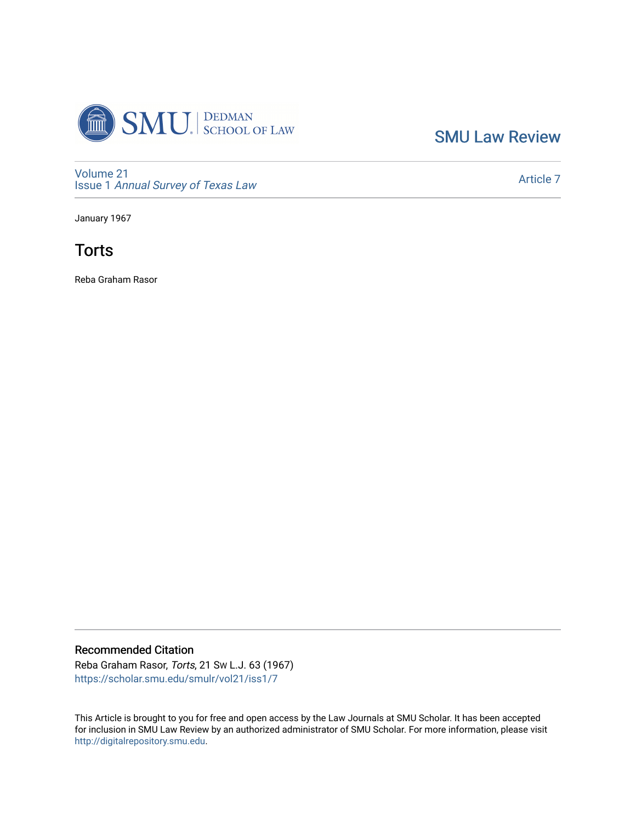

[SMU Law Review](https://scholar.smu.edu/smulr) 

[Volume 21](https://scholar.smu.edu/smulr/vol21) Issue 1 [Annual Survey of Texas Law](https://scholar.smu.edu/smulr/vol21/iss1) 

[Article 7](https://scholar.smu.edu/smulr/vol21/iss1/7) 

January 1967



Reba Graham Rasor

# Recommended Citation

Reba Graham Rasor, Torts, 21 SW L.J. 63 (1967) [https://scholar.smu.edu/smulr/vol21/iss1/7](https://scholar.smu.edu/smulr/vol21/iss1/7?utm_source=scholar.smu.edu%2Fsmulr%2Fvol21%2Fiss1%2F7&utm_medium=PDF&utm_campaign=PDFCoverPages) 

This Article is brought to you for free and open access by the Law Journals at SMU Scholar. It has been accepted for inclusion in SMU Law Review by an authorized administrator of SMU Scholar. For more information, please visit [http://digitalrepository.smu.edu.](http://digitalrepository.smu.edu/)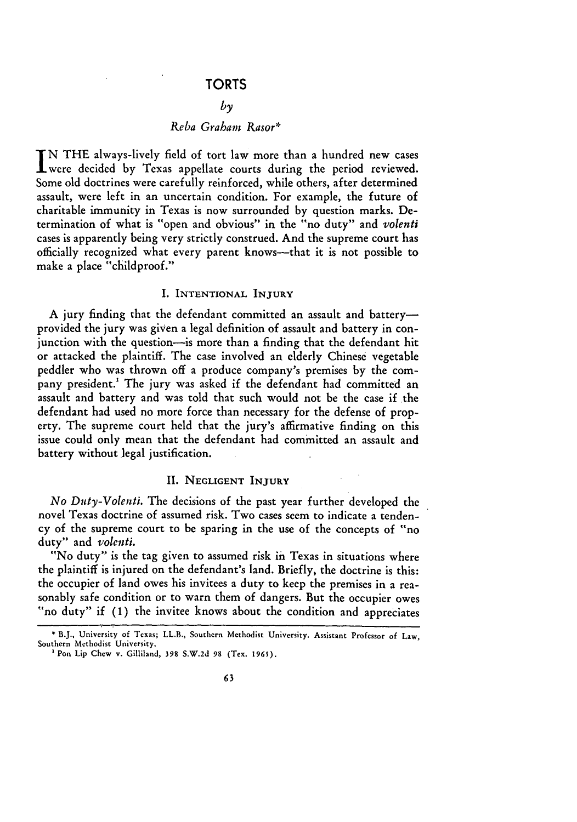## **TORTS**

## *by*

## *Reba Graham Rasor\**

**N** THE always-lively field of tort law more than a hundred new cases I were decided by Texas appellate courts during the period reviewed. Some old doctrines were carefully reinforced, while others, after determined assault, were left in an uncertain condition. For example, the future of charitable immunity in Texas is now surrounded by question marks. Determination of what is "open and obvious" in the "no duty" and *volenti* cases is apparently being very strictly construed. And the supreme court has officially recognized what every parent knows-that it is not possible to make a place "childproof."

### I. INTENTIONAL **INJURY**

A jury finding that the defendant committed an assault and batteryprovided the jury was given a legal definition of assault and battery in conjunction with the question-is more than a finding that the defendant hit or attacked the plaintiff. The case involved an elderly Chinese vegetable peddler who was thrown off a produce company's premises by the company president.' The jury was asked if the defendant had committed an assault and battery and was told that such would not be the case if the defendant had used no more force than necessary for the defense of property. The supreme court held that the jury's affirmative finding on this issue could only mean that the defendant had committed an assault and battery without legal justification.

### **II. NEGLIGENT INJURY**

*No Duty-Volenti.* The decisions of the past year further developed the novel Texas doctrine of assumed risk. Two cases seem to indicate a tendency of the supreme court to be sparing in the use of the concepts of "no duty" and *volenti.*

"No duty" is the tag given to assumed risk in Texas in situations where the plaintiff is injured on the defendant's land. Briefly, the doctrine is this: the occupier of land owes his invitees a duty to keep the premises in a reasonably safe condition or to warn them of dangers. But the occupier owes "no duty" if (1) the invitee knows about the condition and appreciates

**B.J.,** University of Texas; LL.B., Southern Methodist **University.** Assistant Professor **of** Law, Southern Methodist University.

**<sup>&#</sup>x27; Pon Lip** Chew v. Gilliland, **398 S.W.2d 98** (Tex. **1965).**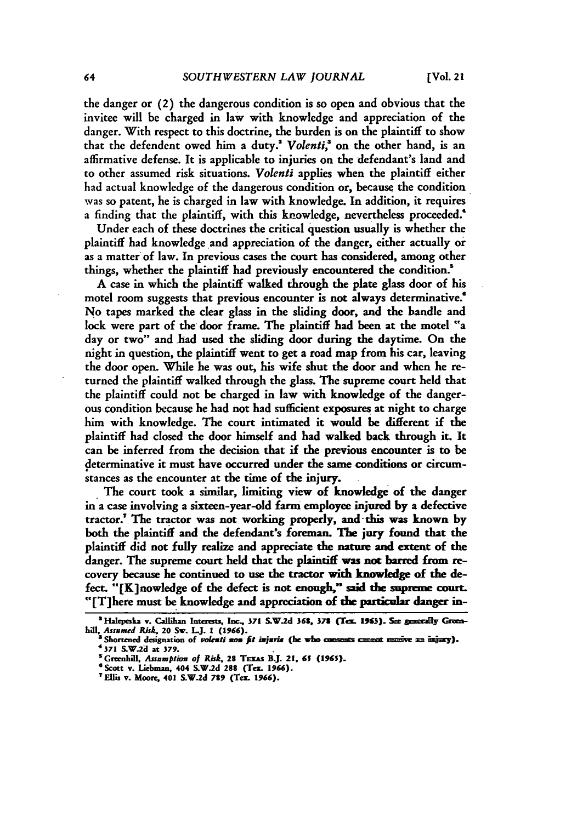the danger or (2) the dangerous condition is so open and obvious that the invitee will be charged in law with knowledge and appreciation of the danger. With respect to this doctrine, the burden is on the plaintiff to show that the defendent owed him a duty.<sup>2</sup> Volenti,<sup>3</sup> on the other hand, is an affirmative defense. It is applicable to injuries on the defendant's land and to other assumed risk situations. *Volenti* applies when the plaintiff either had actual knowledge of the dangerous condition or, because the condition was so patent, he is charged in law with knowledge. In addition, it requires a finding that the plaintiff, with this knowledge, nevertheless proceeded.<sup>4</sup>

Under each of these doctrines the critical question usually is whether the plaintiff had knowledge and appreciation of the danger, either actually or as a matter of law. In previous cases the court has considered, among other things, whether the plaintiff had previously encountered the condition.'

**A** case in which the plaintiff walked through the plate glass door of his motel room suggests that previous encounter is not always determinative.' No tapes marked the clear glass in the sliding door, and the handle and lock were part of the door frame. **The** plaintiff had been at the motel "a day or two" and had used the sliding door during the daytime. On the night in question, the plaintiff went to get a road map from his car, leaving the door open. While he was out, his wife shut the door and when he returned the plaintiff walked through the glass. The supreme court held that the plaintiff could not be charged in law with knowledge of the dangerous condition because he had not had sufficient exposures at night to charge him with knowledge. The court intimated it would be different if the plaintiff had closed the door himself and had walked back through it. It can be inferred from the decision that if the previous encounter is to be determinative it must have occurred under the same conditions or circumstances as the encounter at the time of the injury.

The court took a similar, limiting view of knowledge of the danger in a case involving a sixteen-year-old farm employee injured **by** a defective tractor.' **The** tractor was not working properly, and- this was known **by** both the plaintiff and the defendant's foreman. The jury found that the plaintiff did not fully realize and appreciate **the** nature **and** extent of the danger. The supreme court held that the plaintiff was not barred from recovery because he continued to use the tractor with knowledge of the defect. "[K]nowledge of the defect is not enough," said **the** supreme court. "[T]here must be knowledge and appreciation of the particular danger in-

<sup>&</sup>lt;sup>2</sup> Halepeska v. Callihan Interests, Inc., 371 S.W.2d 368, 378 (Tex. 1963). See generally Green-

*hill, Assnmed Risk,* **20 Sw. L.J.** *1* **(1966). a Shortened** designation **of** *vokti xom fit ixjsria* **(he who** *a me sum* m **= i\*").** <sup>4</sup>**371 S.W.2d at 379.**

**<sup>&#</sup>x27;Greenhill,** *Assumption of Risk,* **28 TExAs B.J. 21,** *61* **(1961).**

<sup>&</sup>lt;sup>6</sup> Scott v. Liebman, 404 S.W.2d 288 (Tex. 1966).

**<sup>&#</sup>x27;Ellis v. Moore, 401 S.W.2d 799 (Tee. 1966).**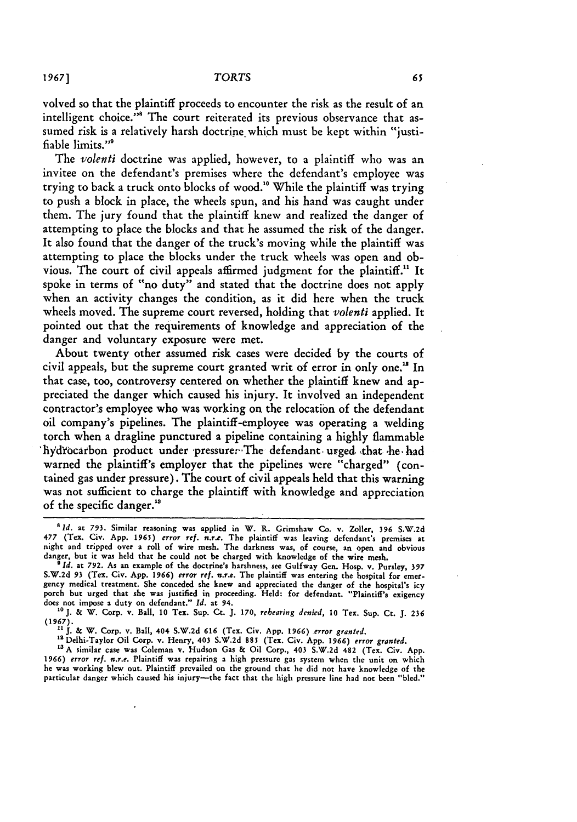volved so that the plaintiff proceeds to encounter the risk as the result of an intelligent choice.<sup>""</sup> The court reiterated its previous observance that assumed risk is a relatively harsh doctrine which must be kept within "justifiable limits."'

The *volenti* doctrine was applied, however, to a plaintiff who was an invitee on the defendant's premises where the defendant's employee was trying to back a truck onto blocks of wood." While the plaintiff was trying to push a block in place, the wheels spun, and his hand was caught under them. The jury found that the plaintiff knew and realized the danger of attempting to place the blocks and that he assumed the risk of the danger. It also found that the danger of the truck's moving while the plaintiff was attempting to place the blocks under the truck wheels was open and obvious. The court of civil appeals affirmed judgment for the plaintiff.<sup>11</sup> It spoke in terms of "no duty" and stated that the doctrine does not apply when an activity changes the condition, as it did here when the truck wheels moved. The supreme court reversed, holding that *volenti* applied. It pointed out that the requirements of knowledge and appreciation of the danger and voluntary exposure were met.

About twenty other assumed risk cases were decided by the courts of civil appeals, but the supreme court granted writ of error in only one." In that case, too, controversy centered on whether the plaintiff knew and appreciated the danger which caused his injury. It involved an independent contractor's employee who was working on the relocation of the defendant oil company's pipelines. The plaintiff-employee was operating a welding torch when a dragline punctured a pipeline containing a highly flammable hydrocarbon product under pressure. The defendant urged that he had warned the plaintiff's employer that the pipelines were "charged" (contained gas under pressure). The court of civil appeals held that this warning was not sufficient to charge the plaintiff with knowledge and appreciation of the specific danger.'

*<sup>&#</sup>x27; Id.* at **793.** Similar reasoning was applied in W. R. Grimshaw Co. **v. Zoller, 396 S.W.2d 477** (Tex. Civ. App. **1965)** *error ref. n.r.e.* The plaintiff was leaving defendant's premises at night and tripped over a roll of wire mesh. The darkness was, of course, an open and obvious danger, but it was **held** that he could not be charged with knowledge of the wire mesh. **<sup>9</sup>***Id.* at **792.** As an example of the doctrine's harshness, see Gulfway Gen. Hosp. v. Pursley, **<sup>397</sup>**

S.W.2d **93** (Tex. Civ. App. 1966) *error ref.* n.r.e. The plaintiff was entering the hospital for emergency medical treatment. She conceded she knew and appreciated the danger of the hospital's icy porch but urged that she was justified in proceeding. **Held:** for defendant. "Plaintiff's exigency does not impose a duty on defendant." *Id.* at **94. "0J.** & W. Corp. v. Ball, **10** Tex. Sup. Ct. **J. 170,** rehearing denied, **10** Tex. Sup. Ct. **J. 236**

<sup>(1967).&</sup>lt;br><sup>11</sup> J. & W. Corp. v. Ball, 404 S.W.2d 616 (Tex. Civ. App. 1966) error granted.<br><sup>12</sup> Delhi-Taylor Oil Corp. v. Henry, 403 S.W.2d 885 (Tex. Civ. App. 1966) error granted.

**t3A** similar case was Coleman v. Hudson Gas **&** Oil Corp., 403 S.W.2d **482** (Tex. Civ. App. **1966)** *error ref. nr.e.* Plaintiff was repairing a high pressure gas system when the unit on which he was working blew out. Plaintiff prevailed on the ground that he did not have knowledge of the particular danger which caused his injury-the fact that the high pressure line had not been "bled."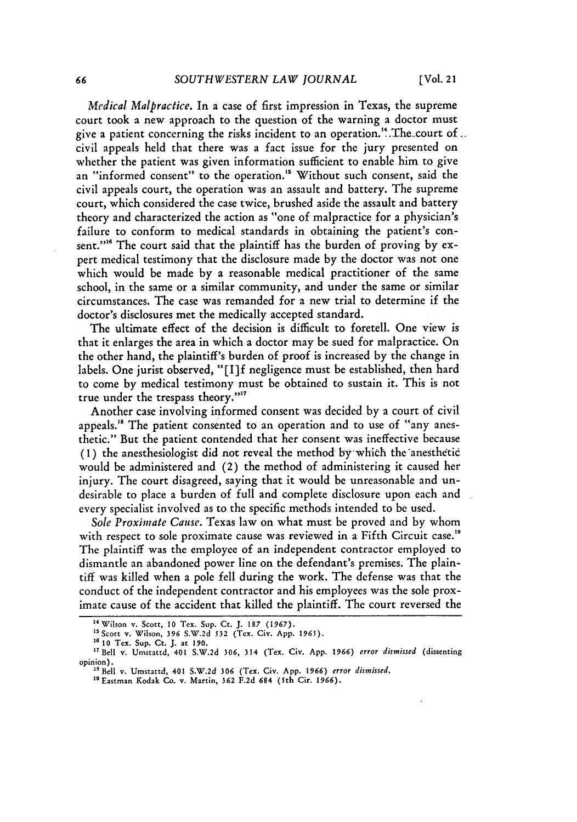*Medical Malpractice.* In a case of first impression in Texas, the supreme court took a new approach to the question of the warning a doctor must give a patient concerning the risks incident to an operation.<sup>14</sup>. The court of  $\ldots$ civil appeals held that there was a fact issue for the jury presented on whether the patient was given information sufficient to enable him to give an "informed consent" to the operation." Without such consent, said the civil appeals court, the operation was an assault and battery. The supreme court, which considered the case twice, brushed aside the assault and battery theory and characterized the action as "one of malpractice for a physician's failure to conform to medical standards in obtaining the patient's consent."<sup>16</sup> The court said that the plaintiff has the burden of proving by expert medical testimony that the disclosure made by the doctor was not one which would be made by a reasonable medical practitioner of the same school, in the same or a similar community, and under the same or similar circumstances. The case was remanded for a new trial to determine if the doctor's disclosures met the medically accepted standard.

The ultimate effect of the decision is difficult to foretell. One view is that it enlarges the area in which a doctor may be sued for malpractice. On the other hand, the plaintiff's burden of proof is increased by the change in labels. One jurist observed, "[I]f negligence must be established, then hard to come by medical testimony must be obtained to sustain it. This is not true under the trespass theory."<sup>11</sup>

Another case involving informed consent was decided by a court of civil appeals.<sup>18</sup> The patient consented to an operation and to use of "any anesthetic." But the patient contended that her consent was ineffective because (1) the anesthesiologist did not reveal the method by which the anesthetic would be administered and (2) the method of administering it caused her injury. The court disagreed, saying that it would be unreasonable and undesirable to place a burden of full and complete disclosure upon each and every specialist involved as to the specific methods intended to be used.

*Sole Proximate Cause.* Texas law on what must be proved and by whom with respect to sole proximate cause was reviewed in a Fifth Circuit case.<sup>19</sup> The plaintiff was the employee of an independent contractor employed to dismantle an abandoned power line on the defendant's premises. The plaintiff was killed when a pole fell during the work. The defense was that the conduct of the independent contractor and his employees was the sole proximate cause of the accident that killed the plaintiff. The court reversed the

**<sup>&</sup>quot;** Wilson v. Scott, **10** Tex. Sup. Ct. J. 187 (1967). "5Scott v. Wilson, **396** S.W.2d 532 (Tex. Civ. App. **1965). 16 10 Tex.** Sup. Ct. **J.** at 190.

<sup>17</sup>Bell v. Umstattd, 401 S.W.2d **306,** 314 (Tex. Civ. App. **1966)** *error dismissed* (dissenting opinion). "SBell v. Umstattd, 401 S.W.2d **306** (Tex. Civ. App. **1966)** *error dismissed.*

<sup>&</sup>quot; <sup>9</sup> Eastman Kodak **Co.** v. Martin, **362** F.2d 684 (5th Cir. **1966).**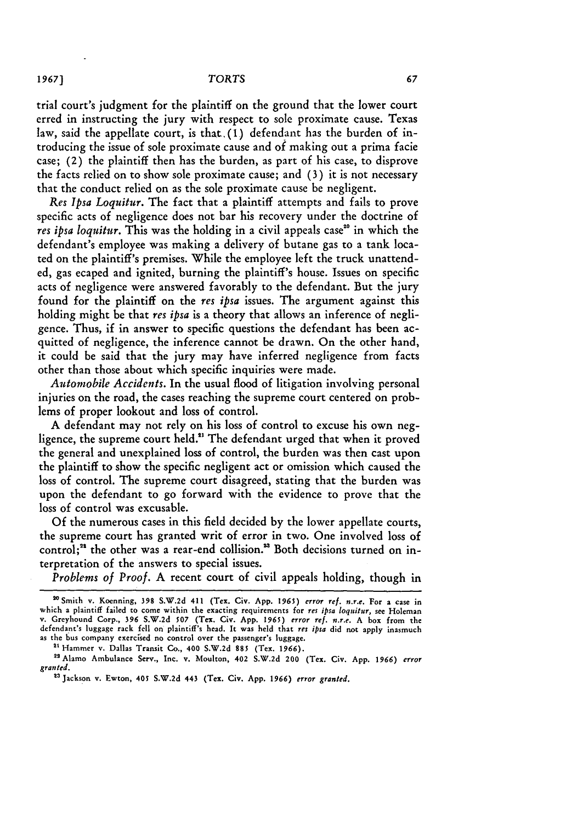trial court's judgment for the plaintiff on the ground that the lower court erred in instructing the jury with respect to sole proximate cause. Texas law, said the appellate court, is that,(1) defendant has the burden of introducing the issue of sole proximate cause and of making out a prima facie case; (2) the plaintiff then has the burden, as part of his case, to disprove the facts relied on to show sole proximate cause; and (3) it is not necessary that the conduct relied on as the sole proximate cause be negligent.

*Res Ipsa Loquitur.* The fact that a plaintiff attempts and fails to prove specific acts of negligence does not bar his recovery under the doctrine of *res ipsa loquitur*. This was the holding in a civil appeals case<sup>20</sup> in which the defendant's employee was making a delivery of butane gas to a tank located on the plaintiff's premises. While the employee left the truck unattended, gas ecaped and ignited, burning the plaintiff's house. Issues on specific acts of negligence were answered favorably to the defendant. But the jury found for the plaintiff on the *res ipsa* issues. The argument against this holding might be that *res ipsa* is a theory that allows an inference of negligence. Thus, if in answer to specific questions the defendant has been acquitted of negligence, the inference cannot be drawn. On the other hand, it could be said that the jury may have inferred negligence from facts other than those about which specific inquiries were made.

*Automobile Accidents.* In the usual flood of litigation involving personal injuries on the road, the cases reaching the supreme court centered on problems of proper lookout and loss of control.

A defendant may not rely on his loss of control to excuse his own negligence, the supreme court held." The defendant urged that when it proved the general and unexplained loss of control, the burden was then cast upon the plaintiff to show the specific negligent act or omission which caused the loss of control. The supreme court disagreed, stating that the burden was upon the defendant to go forward with the evidence to prove that the loss of control was excusable.

Of the numerous cases in this field decided by the lower appellate courts, the supreme court has granted writ of error in two. One involved loss of control;<sup>22</sup> the other was a rear-end collision.<sup>23</sup> Both decisions turned on interpretation of the answers to special issues.

*Problems of Proof.* A recent court of civil appeals holding, though in

<sup>2°</sup> Smith v. Koenning, **398 S.W.2d 411** (Tex. Civ. **App. 1965)** *error ref. n.r.e.* For a case in which a plaintiff failed to come within the exacting requirements **for** *res ipsa loquitur,* see Holeman v. Greyhound Corp., **396 S.W.2d 507** (Tex. **Civ. App. 1965)** *error ref. n.r.e.* **A** box from **the** defendant's luggage rack **fell** on plaintiff's head. **It** was held that *res ipsa* did not apply inasmuch **as** the **bus** company exercised no control over the passenger's luggage.

<sup>2&#</sup>x27; Hammer v. Dallas Transit Co., **400 S.W.2d 885** (Tex. **1966).**

<sup>&</sup>lt;sup>22</sup> Alamo Ambulance Serv., Inc. v. Moulton, 402 S.W.2d 200 (Tex. Civ. App. 1966) error granted.

**<sup>23</sup>** Jackson **v.** Ewton, **405 S.W.2d 443** (Tex. **Civ. App. 1966)** *error granted.*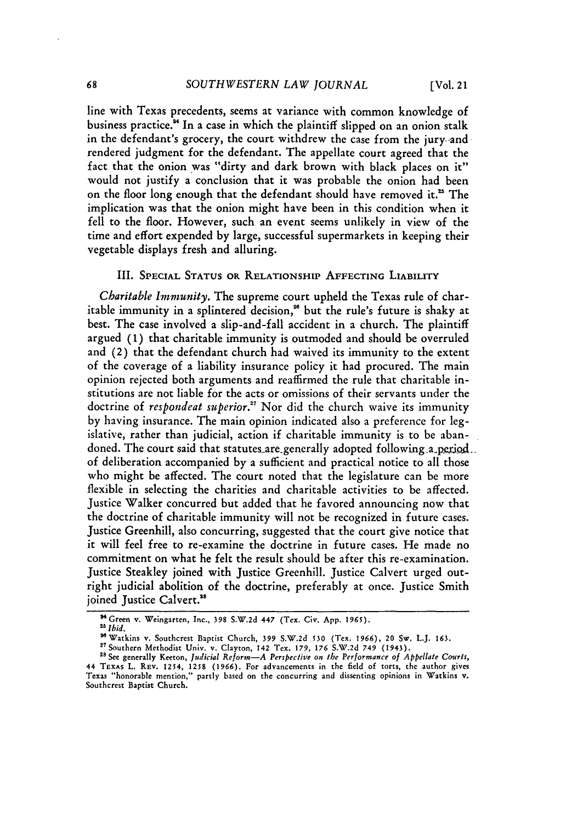line with Texas precedents, seems at variance with common knowledge of business practice." In a case in which the plaintiff slipped on an onion stalk in the defendant's grocery, the court withdrew the case from the jury and rendered judgment for the defendant. The appellate court agreed that the fact that the onion was "dirty and dark brown with black places on it" would not justify a conclusion that it was probable the onion had been on the floor long enough that the defendant should have removed it.<sup>25</sup> The implication was that the onion might have been in this condition when it fell to the floor. However, such an event seems unlikely in view of the time and effort expended by large, successful supermarkets in keeping their vegetable displays fresh and alluring.

### III. **SPECIAL STATUS OR RELATIONSHIP AFFECTING LIABILITY**

*Charitable Immunity.* The supreme court upheld the Texas rule of charitable immunity in a splintered decision,<sup>26</sup> but the rule's future is shaky at best. The case involved a slip-and-fall accident in a church. The plaintiff argued **(1)** that charitable immunity is outmoded and should be overruled and (2) that the defendant church had waived its immunity to the extent of the coverage of a liability insurance policy it had procured. The main opinion rejected both arguments and reaffirmed the rule that charitable institutions are not liable for the acts or omissions of their servants under the doctrine **of** *respondeat superior."* Nor did the church waive its immunity by having insurance. The main opinion indicated also a preference for legislative, rather than judicial, action if charitable immunity is to be abandoned. The court said that statutes are generally adopted following a period. of deliberation accompanied by a sufficient and practical notice to all those who might be affected. The court noted that the legislature can be more flexible in selecting the charities and charitable activities to be affected. Justice Walker concurred but added that he favored announcing now that the doctrine of charitable immunity will not be recognized in future cases. Justice Greenhill, also concurring, suggested that the court give notice that it will feel free to re-examine the doctrine in future cases. He made no commitment on what he felt the result should be after this re-examination. Justice Steakley joined with Justice Greenhill. Justice Calvert urged outright judicial abolition of the doctrine, preferably at once. Justice Smith joined Justice Calvert.<sup>38</sup>

<sup>&</sup>lt;sup>24</sup> Green v. Weingarten, Inc., 398 S.W.2d 447 (Tex. Civ. App. 1965).

**<sup>2</sup>** *Ibid.*

<sup>&</sup>quot;Watkins v. Southcrest Baptist Church, **399 S.W.2d 530** (Tex. **1966), 20 Sw. L.J. 163.**

<sup>2</sup> Southern Methodist Univ. v. Clayton, **142** Tex. 179, **176** S.W.2d **749** (1943). **"s See** generally Keeton, *Judicial Reform-A Perspective on i/c Performance of Appellate Cotrts,*

<sup>44</sup> TEXAs L. **REv.** 1254, **1258 (1966).** For advancements in the field of torts, the author gives Texas "honorable mention," partly based on the concurring and dissenting opinions in Watkins v. Southcrest Baptist Church.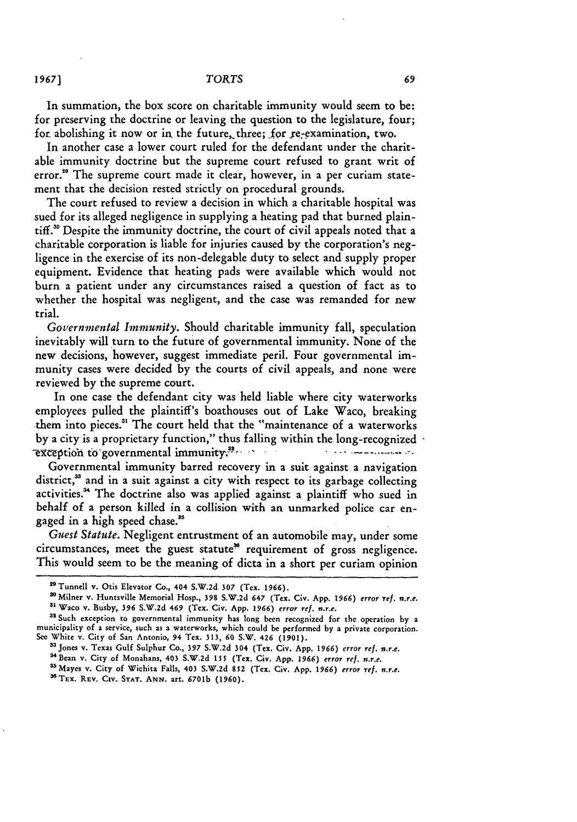In summation, the box score on charitable immunity would seem to be: for preserving the doctrine or leaving the question to the legislature, four; for abolishing it now or in the future, three; for re-examination, two.

In another case a lower court ruled for the defendant under the charitable immunity doctrine but the supreme court refused to grant writ of error."' The supreme court made it clear, however, in a per curiam statement that the decision rested strictly on procedural grounds.

The court refused to review a decision in which a charitable hospital was sued for its alleged negligence in supplying a heating pad that burned plaintiff."' Despite the immunity doctrine, the court of civil appeals noted that a charitable corporation is liable for injuries caused **by** the corporation's negligence in the exercise of its non-delegable duty to select and supply proper equipment. Evidence that heating pads were available which would not burn a patient under any circumstances raised a question of fact as to whether the hospital was negligent, and the case was remanded for new trial.

*Governmental Immunity.* Should charitable immunity fall, speculation inevitably will turn to the future of governmental immunity. None of the new decisions, however, suggest immediate peril. Four governmental immunity cases were decided **by** the courts of civil appeals, and none were reviewed **by** the supreme court.

In one case the defendant city was held liable where city waterworks employees pulled the plaintiff's boathouses out of Lake Waco, breaking them into pieces.<sup>31</sup> The court held that the "maintenance of a waterworks **by** a city is a proprietary function," thus falling within the long-recognized **exception to governmental immunity.<sup>32</sup>.** 

Governmental immunity barred recovery in a suit against a navigation district,<sup>33</sup> and in a suit against a city with respect to its garbage collecting activities.<sup>34</sup> The doctrine also was applied against a plaintiff who sued in behalf of a person killed in a collision with an unmarked police car engaged in a high speed chase."

*Guest Statute.* Negligent entrustment of an automobile may, under some circumstances, meet the guest statute" requirement of gross negligence. This would seem to be the meaning of dicta in a short per curiam opinion

<sup>34</sup> Bean v. City of Monahans, 403 S.W.2d 155 (Tex. Civ. App. 1966) error ref. n.r.e.<br><sup>35</sup> Mayes v. City of Wichita Falls, 403 S.W.2d 852 (Tex. Civ. App. 1966) error ref. n.r.e.

**<sup>9</sup> Tunnell v. Otis Elevator Co., 404 S.W.2d 307 (Tex. 1966).**

**<sup>&#</sup>x27;Milner v. Huntsville Memorial Hosp., 398 S.W.2d 647 (Tex. Civ. App. 1966) error** *Yef.* **n.r.e. a Waco v. Busby, 396 S.W.2d 469 (Tex. Civ. App. 1966) error ref. n.r.e.**

**asSuch exception to governmental immunity has long been recognized** for **the operation by a municipality of a service, such as a waterworks, which could be performed by a private corporation. See White v. City of San Antonio, 94 Tex. 313, 60 S.W. 426 (1901).**

<sup>&</sup>lt;sup>33</sup> Jones v. Texas Gulf Sulphur Co., 397 S.W.2d 304 (Tex. Civ. App. 1966) error ref. n.r.e.

<sup>&</sup>lt;sup>36</sup> TEX. REV. CIV. STAT. ANN. art. 6701b (1960).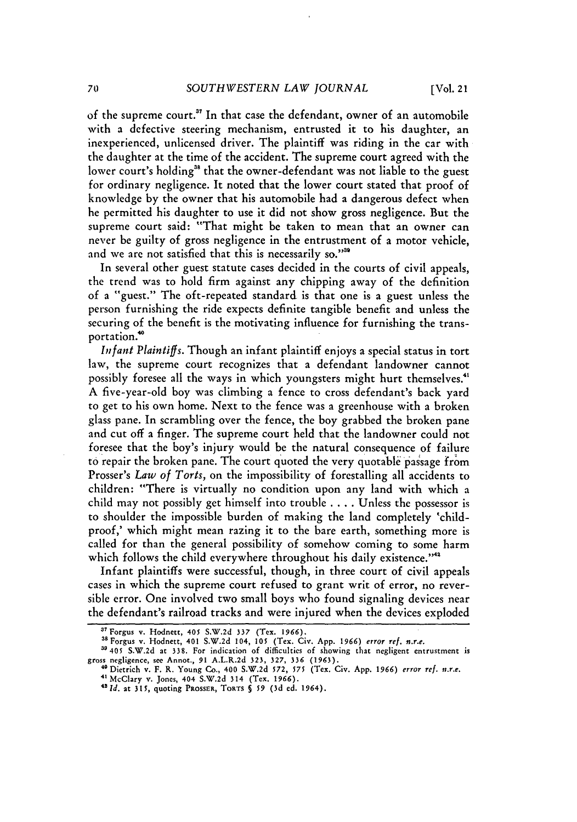of the supreme court.<sup>37</sup> In that case the defendant, owner of an automobile with a defective steering mechanism, entrusted it to his daughter, an inexperienced, unlicensed driver. The plaintiff was riding in the car with the daughter at the time of the accident. The supreme court agreed with the lower court's holding<sup>38</sup> that the owner-defendant was not liable to the guest for ordinary negligence. It noted that the lower court stated that proof of knowledge by the owner that his automobile had a dangerous defect when he permitted his daughter to use it did not show gross negligence. But the supreme court said: "That might be taken to mean that an owner can never be guilty of gross negligence in the entrustment of a motor vehicle, and we are not satisfied that this is necessarily so."<sup>39</sup>

In several other guest statute cases decided in the courts of civil appeals, the trend was to hold firm against any chipping away of the definition of a "guest." The oft-repeated standard is that one is a guest unless the person furnishing the ride expects definite tangible benefit and unless the securing of the benefit is the motivating influence for furnishing the transportation.'

*Infant Plaintiffs.* Though an infant plaintiff enjoys a special status in tort law, the supreme court recognizes that a defendant landowner cannot possibly foresee all the ways in which youngsters might hurt themselves.<sup>41</sup> A five-year-old boy was climbing a fence to cross defendant's back yard to get to his own home. Next to the fence was a greenhouse with a broken glass pane. In scrambling over the fence, the boy grabbed the broken pane and cut off a finger. The supreme court held that the landowner could not foresee that the boy's injury would be the natural consequence of failure to repair the broken pane. The court quoted the very quotable passage from Prosser's *Law of Torts,* on the impossibility of forestalling all accidents to children: "There is virtually no condition upon any land with which a child may not possibly get himself into trouble .... Unless the possessor is to shoulder the impossible burden of making the land completely 'childproof,' which might mean razing it to the bare earth, something more is called for than the general possibility of somehow coming to some harm which follows the child everywhere throughout his daily existence."<sup>42</sup>

Infant plaintiffs were successful, though, in three court of civil appeals cases in which the supreme court refused to grant writ of error, no reversible error. One involved two small boys who found signaling devices near the defendant's railroad tracks and were injured when the devices exploded

<sup>&</sup>lt;sup>37</sup> Forgus v. Hodnett, 405 S.W.2d **337 (Tex. 1966)**. <br><sup>38</sup> Forgus v. Hodnett, 401 S.W.2d 104, 105 (Tex. Civ. App. 1966) *error ref. n.r.e.* 

<sup>39405</sup> **S.W.2d** at **338.** For indication of difficulties of showing that negligent entrustment is gross negligence, see Annot., **91** A.L.R.2d 323, 327, 336 **(1963).**

**<sup>&</sup>quot;'** Dietrich v. F. R. Young Co., 400 S.W.2d 572, *575* (Tex. Civ. **App. 1966)** error ref. *n.r.e.* **'** McClary v. Jones, 404 S.W.2d 314 (Tex. 1966). *<sup>4</sup>*

*<sup>&</sup>quot;1d.* at **315,** quoting **PROSSER, TORTS** § *59* **(3d ed.** 1964).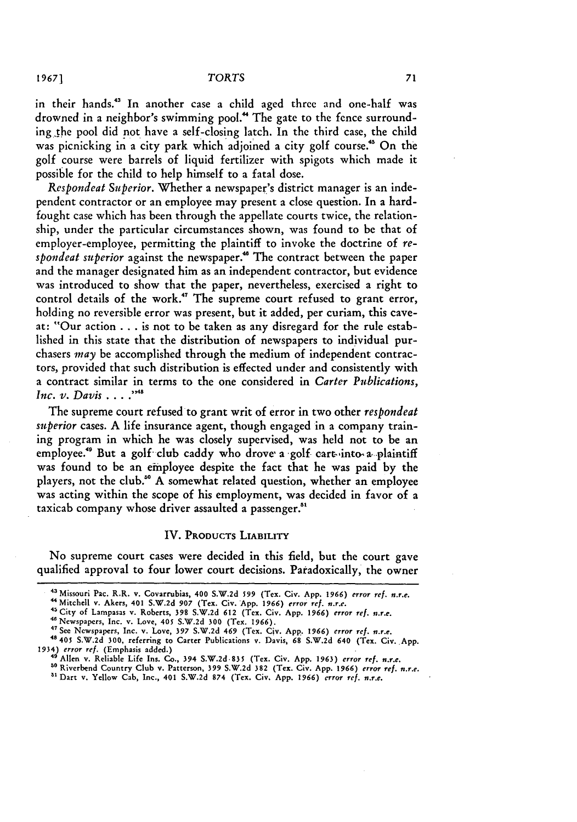in their hands.<sup>43</sup> In another case a child aged three and one-half was drowned in a neighbor's swimming pool.<sup>44</sup> The gate to the fence surrounding the pool did not have a self-closing latch. In the third case, the child was picnicking in a city park which adjoined a city golf course.<sup>45</sup> On the golf course were barrels of liquid fertilizer with spigots which made it possible for the child to help himself to a fatal dose.

*Respondeat Superior.* Whether a newspaper's district manager is an independent contractor or an employee may present a close question. In a hardfought case which has been through the appellate courts twice, the relationship, under the particular circumstances shown, was found to be that of employer-employee, permitting the plaintiff to invoke the doctrine of *respondeat superior* against the newspaper.<sup>46</sup> The contract between the paper and the manager designated him as an independent contractor, but evidence was introduced to show that the paper, nevertheless, exercised a right to control details of the work.<sup>47</sup> The supreme court refused to grant error, holding no reversible error was present, but it added, per curiam, this caveat: "Our action **...** is not to be taken as any disregard for the rule established in this state that the distribution of newspapers to individual purchasers *may* be accomplished through the medium of independent contractors, provided that such distribution is effected under and consistently with a contract similar in terms to the one considered in *Carter Publications, Inc. v. Davis* ....<sup>1748</sup>

The supreme court refused to grant writ of error in two other *respondeat superior* cases. A life insurance agent, though engaged in a company training program in which he was closely supervised, was held not to be an employee.<sup>49</sup> But a golf club caddy who drove a golf cart-into a plaintiff was found to be an employee despite the fact that he was paid by the players, not the club.<sup>50</sup> A somewhat related question, whether an employee was acting within the scope of his employment, was decided in favor of a taxicab company whose driver assaulted a passenger.

### IV. **PRODUCTS LIABILITY**

No supreme court cases were decided in this field, but the court gave qualified approval to four lower court decisions. Paradoxically, the owner

<sup>&</sup>lt;sup>43</sup> Missouri Pac. R.R. v. Covarrubias, 400 S.W.2d 599 (Tex. Civ. App. 1966) *error ref. n.r.e.* 

**<sup>&</sup>quot;** Mitchell v. Akers, 401 S.W.2d **907** (Tex. Civ. App. **1966)** *error ref. n.r.e.* <sup>4</sup>City of Lampasas v. Roberts, **398** S.W.2d **612** (Tex. Civ. App. **1966)** *error ref. n.r.e.*

<sup>46</sup> Newspapers, Inc. v. Love, 405 S.W.2d **300** (Tex. 1966).

<sup>4</sup>See Newspapers, Inc. v. Love, **397** S.W.2d 469 (Tex. Civ. App. **1966)** *error ref. n.r.e.*

**<sup>48</sup>** 405 S.W.2d **300,** referring to Carter Publications v. Davis, **68** S.W.2d 640 (Tex. Civ. App. 1934) *error ref.* (Emphasis added.)

<sup>&</sup>quot;'Allen v. Reliable Life Ins. Co., 394 S.W.2d.835 (Tex. Civ. App. **1963)** *error ref. n.r.e.*

**so** Riverbend Country Club v. Patterson, **399** S.W.2d 382 (Tex. Civ. App. **1966)** *error ref. n.r.e.* " Dart v. Yellow Cab, Inc., 401 S.W.2d 874 (Tex. Civ, App. **1966)** *error ref. n.r.e.*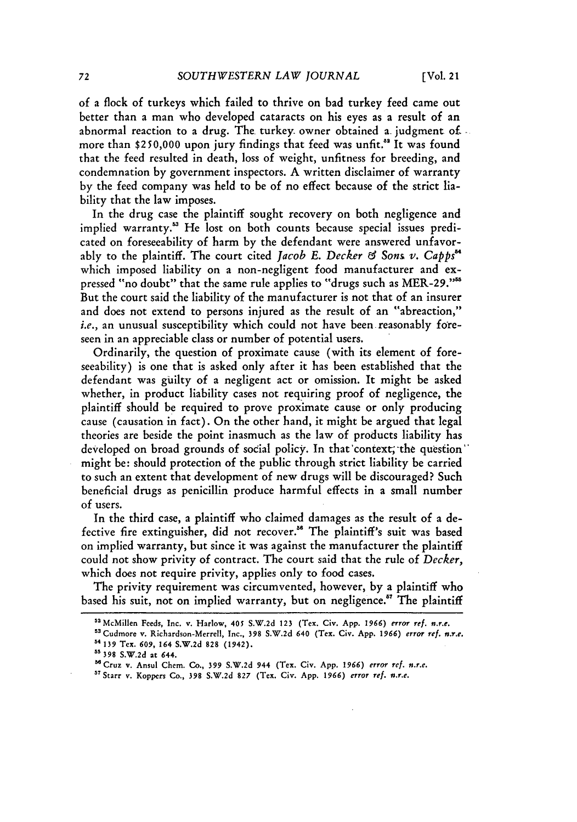of a flock of turkeys which failed to thrive on bad turkey feed came out better than a man who developed cataracts on his eyes as a result of an abnormal reaction to a drug. The turkey owner obtained a judgment of more than \$250,000 upon jury findings that feed was unfit.<sup>88</sup> It was found that the feed resulted in death, loss of weight, unfitness for breeding, and condemnation **by** government inspectors. A written disclaimer of warranty by the feed company was held to be of no effect because of the strict liability that the law imposes.

In the drug case the plaintiff sought recovery on both negligence and implied warranty." He lost on both counts because special issues predicated on foreseeability of harm by the defendant were answered unfavorably to the plaintiff. The court cited *Jacob E. Decker & Son& v. Capps"* which imposed liability on a non-negligent food manufacturer and expressed "no doubt" that the same rule applies to "drugs such as MER-29."<sup>55</sup> But the court said the liability of the manufacturer is not that of an insurer and does not extend to persons injured as the result of an "abreaction," *i.e.,* an unusual susceptibility which could not have been reasonably foreseen in an appreciable class or number of potential users.

Ordinarily, the question of proximate cause (with its element of foreseeability) is one that is asked only after it has been established that the defendant was guilty of a negligent act or omission. It might be asked whether, in product liability cases not requiring proof of negligence, the plaintiff should be required to prove proximate cause or only producing cause (causation in fact). On the other hand, it might be argued that legal theories are beside the point inasmuch as the law of products liability has developed on broad grounds of social policy. In that context, the question might be: should protection of the public through strict liability be carried to such an extent that development of new drugs will be discouraged? Such beneficial drugs as penicillin produce harmful effects in a small number of users.

In the third case, a plaintiff who claimed damages as the result of a defective fire extinguisher, did not recover." The plaintiff's suit was based on implied warranty, but since it was against the manufacturer the plaintiff could not show privity of contract. The court said that the rule of *Decker,* which does not require privity, applies only to food cases.

The privity requirement was circumvented, however, by a plaintiff who based his suit, not on implied warranty, but on negligence." The plaintiff

<sup>&</sup>lt;sup>52</sup> McMillen Feeds, Inc. v. Harlow, 405 S.W.2d 123 (Tex. Civ. App. 1966) error ref. n.r.e. "Cudmore v. Richardson-Merrell, Inc., 398 **S.W.2d** 640 (Tex. Civ. App. *1966)* error ref. *n.r.e.* **4139 Tex. 609,** 164 **S.W.2d** 828 (1942).

**<sup>&#</sup>x27;5 398 S.W.2d at** 644.

<sup>&</sup>quot;Cruz v. Ansul Chem. Co., **399 S.W.2d** 944 (Tex. Civ. **App.** *1966)* error ref. *n.r.e.*

**<sup>57</sup>**Starr v. Koppers Co., 398 S.W.2d 827 (Tex. Civ. App. 1966) *error ref. #.r.e.*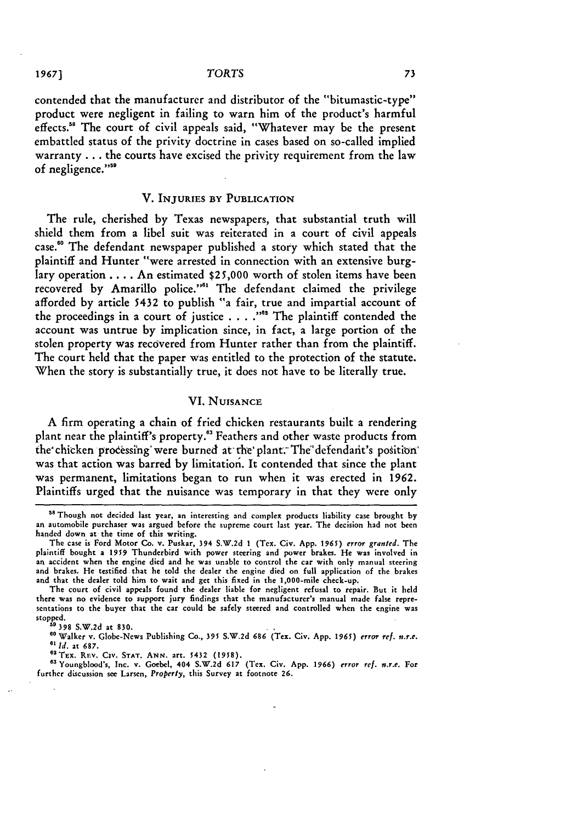#### **1967)** *TORTS*

contended that the manufacturer and distributor of the "bitumastic-type" product were negligent in failing to warn him of the product's harmful effects.<sup>36</sup> The court of civil appeals said, "Whatever may be the present embattled status of the privity doctrine in cases based on so-called implied warranty **...** the courts have excised the privity requirement from the law of negligence."'

### V. **INJURIES** BY **PUBLICATION**

The rule, cherished by Texas newspapers, that substantial truth will shield them from a libel suit was reiterated in a court of civil appeals case."0 The defendant newspaper published a story which stated that the plaintiff and Hunter "were arrested in connection with an extensive burglary operation .... An estimated **\$25,000** worth of stolen items have been recovered by Amarillo police."<sup>61</sup> The defendant claimed the privilege afforded by article 5432 to publish "a fair, true and impartial account of the proceedings in a court of justice . **. . ."** The plaintiff contended the account was untrue by implication since, in fact, a large portion of the stolen property was recovered from Hunter rather than from the plaintiff. The court held that the paper was entitled to the protection of the statute. When the story is substantially true, it does not have to be literally true.

### VI. **NUISANCE**

A firm operating a chain of fried chicken restaurants built a rendering plant near the plaintiff's property.<sup>63</sup> Feathers and other waste products from the chicken processing were burned at the plant. The defendant's position was that action was barred by limitation. It contended that since the plant was permanent, limitations began to run when it was erected in 1962. Plaintiffs urged that the nuisance was temporary in that they were only

**<sup>&</sup>quot;** Though not decided last year, an interesting and complex products liability case brought **by** an automobile purchaser was argued before the supreme court last year. The decision **had** not been handed down at the time of this writing.

The case is Ford Motor Co. v. Puskar, 394 S.W.2d **I** (Tex. Civ. App. **1965)** *error granted.* The plaintiff bought a 1959 Thunderbird with power steering and power brakes. He was involved in an accident when the engine died and he was unable to control the car with only manual steering and brakes. He testified that he told the dealer the engine died on full application of the brakes and that the dealer told him to wait and get this fixed in the 1,000-mile check-up.

The court of civil appeals found the dealer liable for negligent refusal to repair. But it held there was no evidence to support jury findings that the manufacturer's manual made **false** representations to the buyer that the car could **be** safely steered and controlled when the engine was stopped.

**<sup>39 398</sup> S.W.2d** at **830.**

**<sup>&</sup>quot;0** Walker v. Globe-News Publishing Co., 395 S.W.2d 686 (Tex. Civ. App. **1965)** *error ref. n.r.e. 6' Id.* at 687.

<sup>&</sup>lt;sup>62</sup> TEX. REV. CIV. STAT. ANN. art. 5432 (1958).

**<sup>&</sup>quot;3** Youngblood's, Inc. v. Goebel, 404 S.W.2d 617 (Tex. Civ. App. 1966) *error ref. n.r.e.* For further discussion see Larsen, *Property,* this Survey at footnote 26.